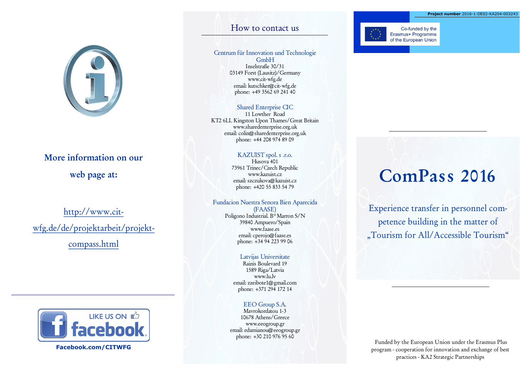

## More information on our

web page at:

## http://www.citwfg.de/de/projektarbeit/projektcompass.html



**Facebook.com/CITWFG**

### How to contact us

#### Centrum für Innovation und Technologie GmbH Inselstraße 30/31 03149 Forst (Lausitz)/Germany www.cit-wfg.de email: kutschker@cit-wfg.de

#### Shared Enterprise CIC

phone: +49 3562 69 241 40

11 Lowther Road KT2 6LL Kingston Upon Thames/Great Britain www.sharedenterprise.org.uk email: colin@sharedenterprise.org.uk phone: +44 208 974 89 09

#### KAZUIST spol. s .r.o.

Husova 401 73961 Trinec/Czech Republic www.kazuist.cz email: szczukova@kazuist.cz phone: +420 55 833 54 79

#### Fundacion Nuestra Senora Bien Aparecida (FAASE)

Poligono Industrial. Bº Marron S/N 39840 Ampuero/Spain www.faase.es email: cperojo@faase.es phone: +34 94 223 99 06

#### Latvijas Universitate

Rainis Boulevard 19 1589 Riga/Latvia www.lu.lv email: zzeibote1@gmail.com phone: +371 294 172 14

#### EEO Group S.A.

Mavrokordatou 1-3 10678 Athens/Greece www.eeogroup.gr email: edamianou@eeogroup.gr phone: +30 210 976 95 60



Co-funded by the Erasmus+ Programme of the European Union

# ComPass 2016

Experience transfer in personnel competence building in the matter of "Tourism for All/Accessible Tourism"

Funded by the European Union under the Erasmus Plus program - cooperation for innovation and exchange of best practices - KA2 Strategic Partnerships